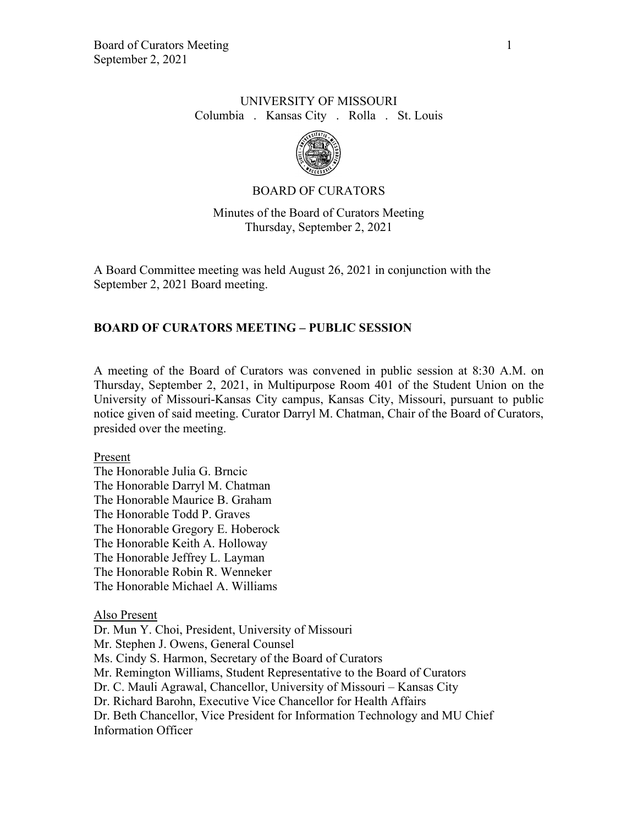### UNIVERSITY OF MISSOURI Columbia . Kansas City . Rolla . St. Louis



### BOARD OF CURATORS

## Minutes of the Board of Curators Meeting Thursday, September 2, 2021

A Board Committee meeting was held August 26, 2021 in conjunction with the September 2, 2021 Board meeting.

## **BOARD OF CURATORS MEETING – PUBLIC SESSION**

A meeting of the Board of Curators was convened in public session at 8:30 A.M. on Thursday, September 2, 2021, in Multipurpose Room 401 of the Student Union on the University of Missouri-Kansas City campus, Kansas City, Missouri, pursuant to public notice given of said meeting. Curator Darryl M. Chatman, Chair of the Board of Curators, presided over the meeting.

#### Present

The Honorable Julia G. Brncic The Honorable Darryl M. Chatman The Honorable Maurice B. Graham The Honorable Todd P. Graves The Honorable Gregory E. Hoberock The Honorable Keith A. Holloway The Honorable Jeffrey L. Layman The Honorable Robin R. Wenneker The Honorable Michael A. Williams

Also Present

Dr. Mun Y. Choi, President, University of Missouri Mr. Stephen J. Owens, General Counsel Ms. Cindy S. Harmon, Secretary of the Board of Curators Mr. Remington Williams, Student Representative to the Board of Curators Dr. C. Mauli Agrawal, Chancellor, University of Missouri – Kansas City Dr. Richard Barohn, Executive Vice Chancellor for Health Affairs Dr. Beth Chancellor, Vice President for Information Technology and MU Chief Information Officer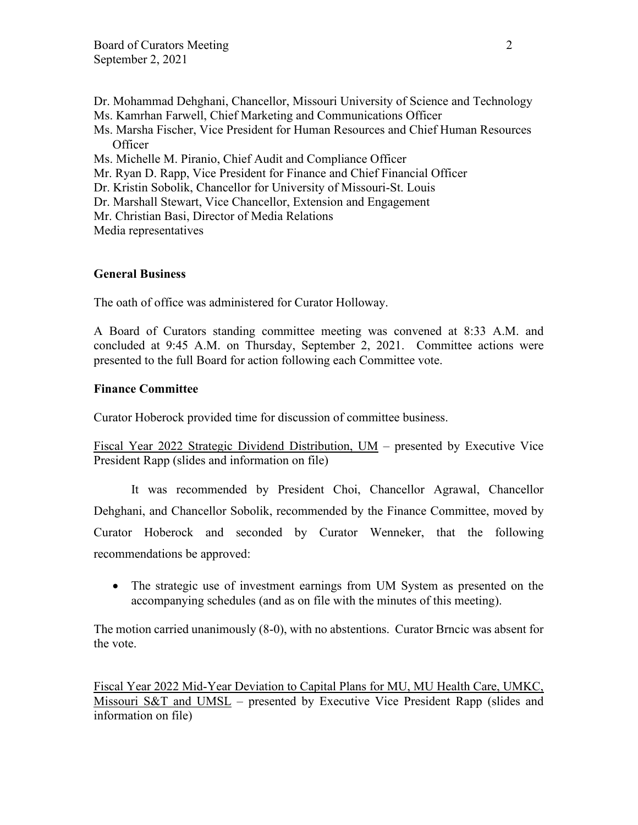- Dr. Mohammad Dehghani, Chancellor, Missouri University of Science and Technology Ms. Kamrhan Farwell, Chief Marketing and Communications Officer
- Ms. Marsha Fischer, Vice President for Human Resources and Chief Human Resources **Officer**
- Ms. Michelle M. Piranio, Chief Audit and Compliance Officer
- Mr. Ryan D. Rapp, Vice President for Finance and Chief Financial Officer
- Dr. Kristin Sobolik, Chancellor for University of Missouri-St. Louis
- Dr. Marshall Stewart, Vice Chancellor, Extension and Engagement
- Mr. Christian Basi, Director of Media Relations

Media representatives

### **General Business**

The oath of office was administered for Curator Holloway.

A Board of Curators standing committee meeting was convened at 8:33 A.M. and concluded at 9:45 A.M. on Thursday, September 2, 2021. Committee actions were presented to the full Board for action following each Committee vote.

### **Finance Committee**

Curator Hoberock provided time for discussion of committee business.

Fiscal Year 2022 Strategic Dividend Distribution, UM – presented by Executive Vice President Rapp (slides and information on file)

It was recommended by President Choi, Chancellor Agrawal, Chancellor Dehghani, and Chancellor Sobolik, recommended by the Finance Committee, moved by Curator Hoberock and seconded by Curator Wenneker, that the following recommendations be approved:

• The strategic use of investment earnings from UM System as presented on the accompanying schedules (and as on file with the minutes of this meeting).

The motion carried unanimously (8-0), with no abstentions. Curator Brncic was absent for the vote.

Fiscal Year 2022 Mid-Year Deviation to Capital Plans for MU, MU Health Care, UMKC, Missouri S&T and UMSL – presented by Executive Vice President Rapp (slides and information on file)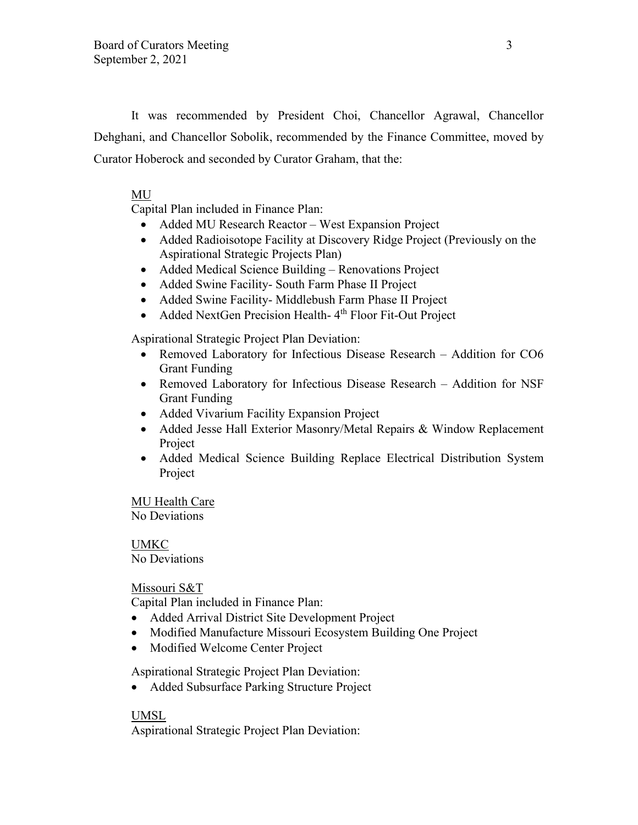It was recommended by President Choi, Chancellor Agrawal, Chancellor Dehghani, and Chancellor Sobolik, recommended by the Finance Committee, moved by Curator Hoberock and seconded by Curator Graham, that the:

## MU

Capital Plan included in Finance Plan:

- Added MU Research Reactor West Expansion Project
- Added Radioisotope Facility at Discovery Ridge Project (Previously on the Aspirational Strategic Projects Plan)
- Added Medical Science Building Renovations Project
- Added Swine Facility- South Farm Phase II Project
- Added Swine Facility- Middlebush Farm Phase II Project
- Added NextGen Precision Health-4<sup>th</sup> Floor Fit-Out Project

Aspirational Strategic Project Plan Deviation:

- Removed Laboratory for Infectious Disease Research Addition for CO6 Grant Funding
- Removed Laboratory for Infectious Disease Research Addition for NSF Grant Funding
- Added Vivarium Facility Expansion Project
- Added Jesse Hall Exterior Masonry/Metal Repairs & Window Replacement Project
- Added Medical Science Building Replace Electrical Distribution System Project

MU Health Care No Deviations

UMKC No Deviations

Missouri S&T

Capital Plan included in Finance Plan:

- Added Arrival District Site Development Project
- Modified Manufacture Missouri Ecosystem Building One Project
- Modified Welcome Center Project

Aspirational Strategic Project Plan Deviation:

• Added Subsurface Parking Structure Project

### UMSL

Aspirational Strategic Project Plan Deviation: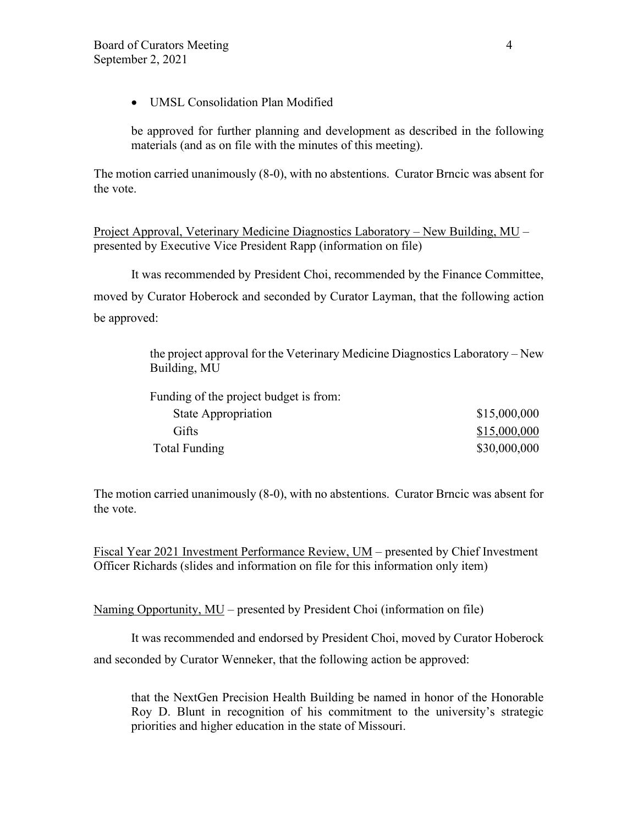• UMSL Consolidation Plan Modified

be approved for further planning and development as described in the following materials (and as on file with the minutes of this meeting).

The motion carried unanimously (8-0), with no abstentions. Curator Brncic was absent for the vote.

Project Approval, Veterinary Medicine Diagnostics Laboratory – New Building, MU – presented by Executive Vice President Rapp (information on file)

 It was recommended by President Choi, recommended by the Finance Committee, moved by Curator Hoberock and seconded by Curator Layman, that the following action be approved:

> the project approval for the Veterinary Medicine Diagnostics Laboratory – New Building, MU

> Funding of the project budget is from: State Appropriation  $$15,000,000$ Gifts \$15,000,000 Total Funding \$30,000,000 \$30,000,000

The motion carried unanimously (8-0), with no abstentions. Curator Brncic was absent for the vote.

Fiscal Year 2021 Investment Performance Review, UM – presented by Chief Investment Officer Richards (slides and information on file for this information only item)

Naming Opportunity, MU – presented by President Choi (information on file)

It was recommended and endorsed by President Choi, moved by Curator Hoberock and seconded by Curator Wenneker, that the following action be approved:

that the NextGen Precision Health Building be named in honor of the Honorable Roy D. Blunt in recognition of his commitment to the university's strategic priorities and higher education in the state of Missouri.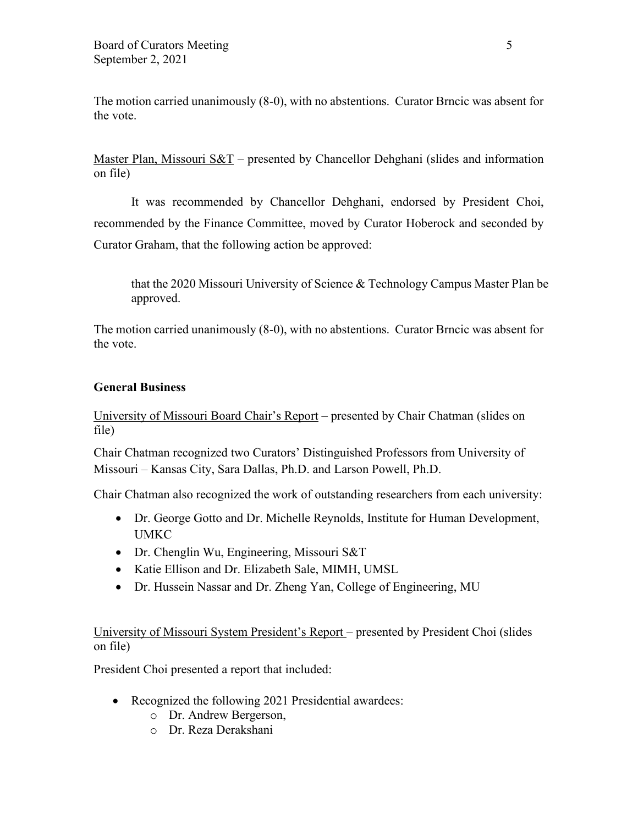The motion carried unanimously (8-0), with no abstentions. Curator Brncic was absent for the vote.

Master Plan, Missouri  $S\&T$  – presented by Chancellor Dehghani (slides and information on file)

It was recommended by Chancellor Dehghani, endorsed by President Choi, recommended by the Finance Committee, moved by Curator Hoberock and seconded by Curator Graham, that the following action be approved:

that the 2020 Missouri University of Science & Technology Campus Master Plan be approved.

The motion carried unanimously (8-0), with no abstentions. Curator Brncic was absent for the vote.

## **General Business**

University of Missouri Board Chair's Report – presented by Chair Chatman (slides on file)

Chair Chatman recognized two Curators' Distinguished Professors from University of Missouri – Kansas City, Sara Dallas, Ph.D. and Larson Powell, Ph.D.

Chair Chatman also recognized the work of outstanding researchers from each university:

- Dr. George Gotto and Dr. Michelle Reynolds, Institute for Human Development, UMKC
- Dr. Chenglin Wu, Engineering, Missouri S&T
- Katie Ellison and Dr. Elizabeth Sale, MIMH, UMSL
- Dr. Hussein Nassar and Dr. Zheng Yan, College of Engineering, MU

University of Missouri System President's Report – presented by President Choi (slides on file)

President Choi presented a report that included:

- Recognized the following 2021 Presidential awardees:
	- o Dr. Andrew Bergerson,
	- o Dr. Reza Derakshani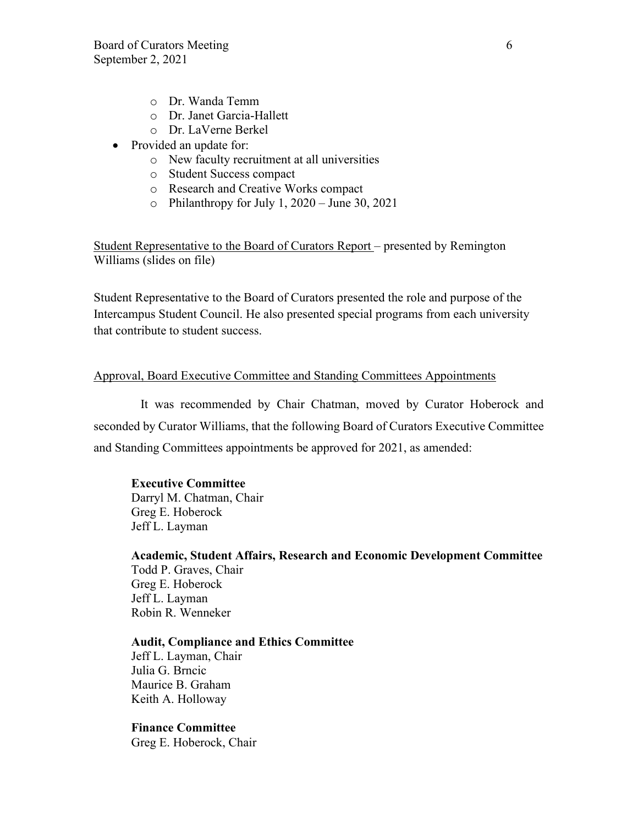- o Dr. Wanda Temm
- o Dr. Janet Garcia-Hallett
- o Dr. LaVerne Berkel
- Provided an update for:
	- o New faculty recruitment at all universities
	- o Student Success compact
	- o Research and Creative Works compact
	- $\circ$  Philanthropy for July 1, 2020 June 30, 2021

Student Representative to the Board of Curators Report – presented by Remington Williams (slides on file)

Student Representative to the Board of Curators presented the role and purpose of the Intercampus Student Council. He also presented special programs from each university that contribute to student success.

#### Approval, Board Executive Committee and Standing Committees Appointments

It was recommended by Chair Chatman, moved by Curator Hoberock and seconded by Curator Williams, that the following Board of Curators Executive Committee and Standing Committees appointments be approved for 2021, as amended:

#### **Executive Committee**

Darryl M. Chatman, Chair Greg E. Hoberock Jeff L. Layman

**Academic, Student Affairs, Research and Economic Development Committee** Todd P. Graves, Chair Greg E. Hoberock Jeff L. Layman Robin R. Wenneker

### **Audit, Compliance and Ethics Committee**

Jeff L. Layman, Chair Julia G. Brncic Maurice B. Graham Keith A. Holloway

## **Finance Committee**

Greg E. Hoberock, Chair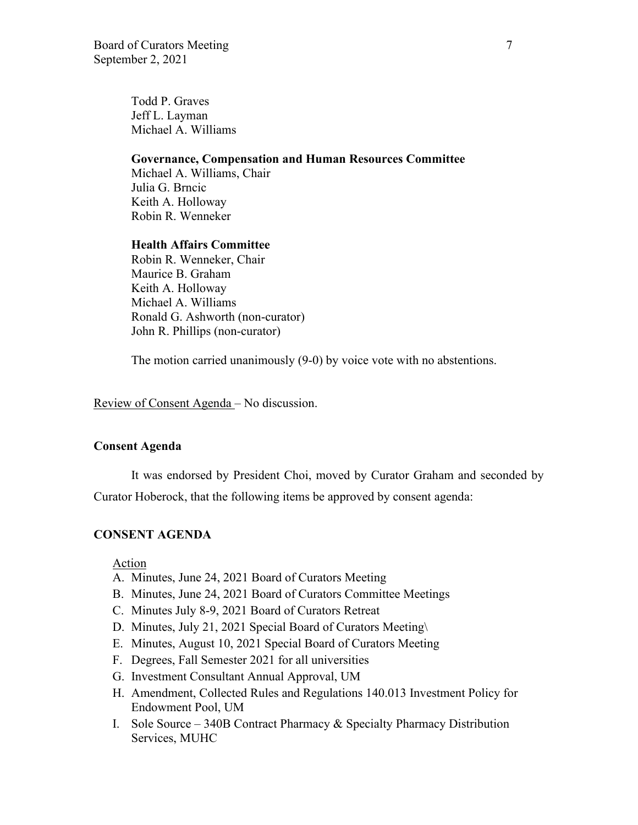Todd P. Graves Jeff L. Layman Michael A. Williams

#### **Governance, Compensation and Human Resources Committee**

Michael A. Williams, Chair Julia G. Brncic Keith A. Holloway Robin R. Wenneker

#### **Health Affairs Committee**

 Robin R. Wenneker, Chair Maurice B. Graham Keith A. Holloway Michael A. Williams Ronald G. Ashworth (non-curator) John R. Phillips (non-curator)

The motion carried unanimously (9-0) by voice vote with no abstentions.

Review of Consent Agenda – No discussion.

### **Consent Agenda**

It was endorsed by President Choi, moved by Curator Graham and seconded by Curator Hoberock, that the following items be approved by consent agenda:

### **CONSENT AGENDA**

Action

- A. Minutes, June 24, 2021 Board of Curators Meeting
- B. Minutes, June 24, 2021 Board of Curators Committee Meetings
- C. Minutes July 8-9, 2021 Board of Curators Retreat
- D. Minutes, July 21, 2021 Special Board of Curators Meeting\
- E. Minutes, August 10, 2021 Special Board of Curators Meeting
- F. Degrees, Fall Semester 2021 for all universities
- G. Investment Consultant Annual Approval, UM
- H. Amendment, Collected Rules and Regulations 140.013 Investment Policy for Endowment Pool, UM
- I. Sole Source 340B Contract Pharmacy & Specialty Pharmacy Distribution Services, MUHC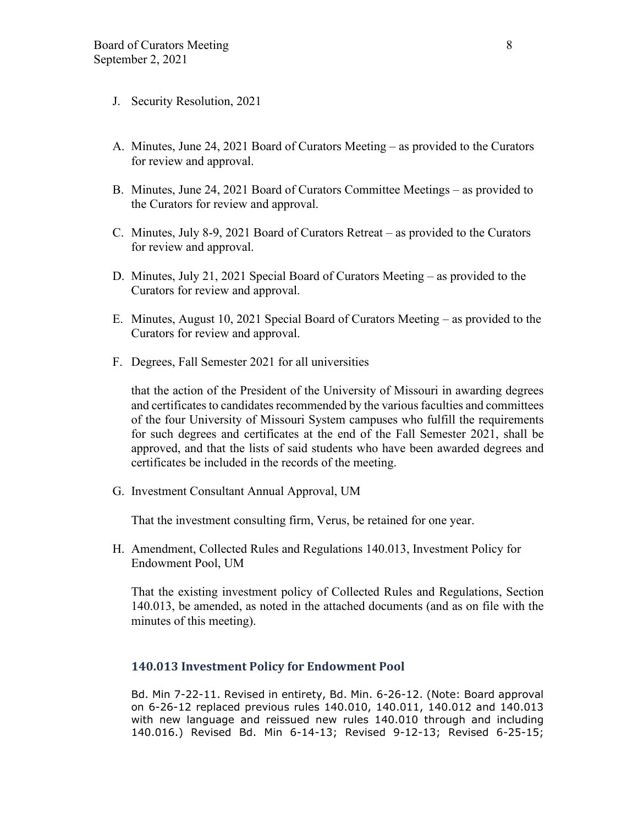- J. Security Resolution, 2021
- A. Minutes, June 24, 2021 Board of Curators Meeting as provided to the Curators for review and approval.
- B. Minutes, June 24, 2021 Board of Curators Committee Meetings as provided to the Curators for review and approval.
- C. Minutes, July 8-9, 2021 Board of Curators Retreat as provided to the Curators for review and approval.
- D. Minutes, July 21, 2021 Special Board of Curators Meeting as provided to the Curators for review and approval.
- E. Minutes, August 10, 2021 Special Board of Curators Meeting as provided to the Curators for review and approval.
- F. Degrees, Fall Semester 2021 for all universities

that the action of the President of the University of Missouri in awarding degrees and certificates to candidates recommended by the various faculties and committees of the four University of Missouri System campuses who fulfill the requirements for such degrees and certificates at the end of the Fall Semester 2021, shall be approved, and that the lists of said students who have been awarded degrees and certificates be included in the records of the meeting.

G. Investment Consultant Annual Approval, UM

That the investment consulting firm, Verus, be retained for one year.

H. Amendment, Collected Rules and Regulations 140.013, Investment Policy for Endowment Pool, UM

That the existing investment policy of Collected Rules and Regulations, Section 140.013, be amended, as noted in the attached documents (and as on file with the minutes of this meeting).

#### **140.013 Investment Policy for Endowment Pool**

Bd. Min 7-22-11. Revised in entirety, Bd. Min. 6-26-12. (Note: Board approval on 6-26-12 replaced previous rules 140.010, 140.011, 140.012 and 140.013 with new language and reissued new rules 140.010 through and including 140.016.) Revised Bd. Min 6-14-13; Revised 9-12-13; Revised 6-25-15;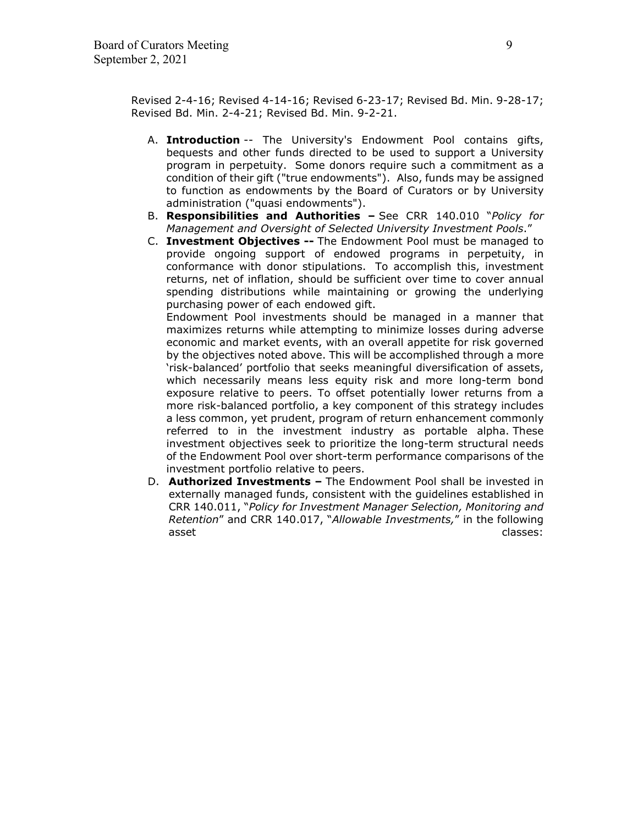Revised 2-4-16; Revised 4-14-16; Revised 6-23-17; Revised Bd. Min. 9-28-17; Revised Bd. Min. 2-4-21; Revised Bd. Min. 9-2-21.

- A. **Introduction** -- The University's Endowment Pool contains gifts, bequests and other funds directed to be used to support a University program in perpetuity. Some donors require such a commitment as a condition of their gift ("true endowments"). Also, funds may be assigned to function as endowments by the Board of Curators or by University administration ("quasi endowments").
- B. **Responsibilities and Authorities** See CRR 140.010 "*Policy for Management and Oversight of Selected University Investment Pools*."
- C. **Investment Objectives --** The Endowment Pool must be managed to provide ongoing support of endowed programs in perpetuity, in conformance with donor stipulations. To accomplish this, investment returns, net of inflation, should be sufficient over time to cover annual spending distributions while maintaining or growing the underlying purchasing power of each endowed gift.

Endowment Pool investments should be managed in a manner that maximizes returns while attempting to minimize losses during adverse economic and market events, with an overall appetite for risk governed by the objectives noted above. This will be accomplished through a more 'risk-balanced' portfolio that seeks meaningful diversification of assets, which necessarily means less equity risk and more long-term bond exposure relative to peers. To offset potentially lower returns from a more risk-balanced portfolio, a key component of this strategy includes a less common, yet prudent, program of return enhancement commonly referred to in the investment industry as portable alpha. These investment objectives seek to prioritize the long-term structural needs of the Endowment Pool over short-term performance comparisons of the investment portfolio relative to peers.

D. **Authorized Investments –** The Endowment Pool shall be invested in externally managed funds, consistent with the guidelines established in CRR 140.011, "*Policy for Investment Manager Selection, Monitoring and Retention*" and CRR 140.017, "*Allowable Investments,*" in the following asset classes: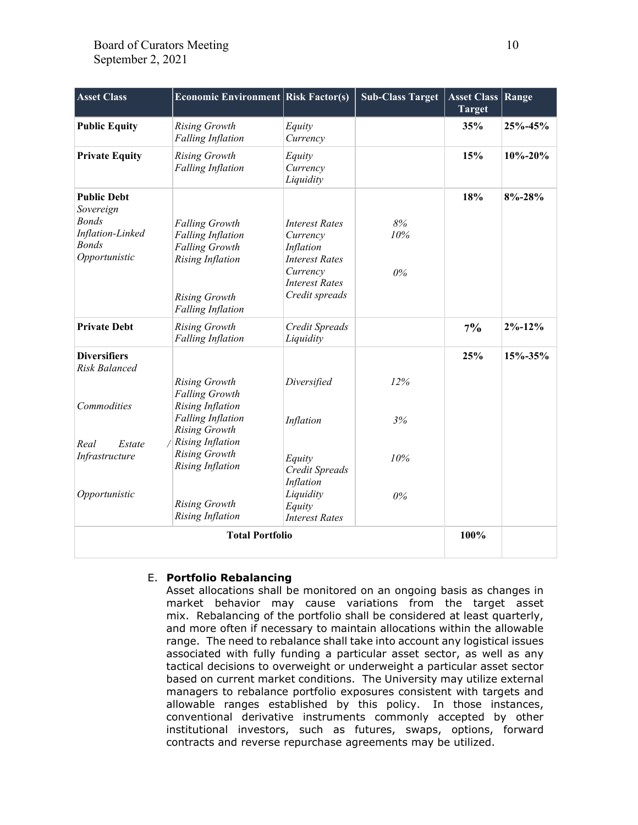| <b>Asset Class</b>                                                                                   | <b>Economic Environment Risk Factor(s)</b>                                                                                                                |                                                                                                                                | <b>Sub-Class Target</b> | <b>Asset Class</b><br><b>Target</b> | Range         |
|------------------------------------------------------------------------------------------------------|-----------------------------------------------------------------------------------------------------------------------------------------------------------|--------------------------------------------------------------------------------------------------------------------------------|-------------------------|-------------------------------------|---------------|
| <b>Public Equity</b>                                                                                 | <b>Rising Growth</b><br><b>Falling Inflation</b>                                                                                                          | Equity<br>Currency                                                                                                             |                         | 35%                                 | 25%-45%       |
| <b>Private Equity</b>                                                                                | <b>Rising Growth</b><br><b>Falling Inflation</b>                                                                                                          | Equity<br>Currency<br>Liquidity                                                                                                |                         | 15%                                 | $10\% - 20\%$ |
| <b>Public Debt</b><br>Sovereign<br><b>Bonds</b><br>Inflation-Linked<br><b>Bonds</b><br>Opportunistic | <b>Falling Growth</b><br><b>Falling Inflation</b><br><b>Falling Growth</b><br><b>Rising Inflation</b><br><b>Rising Growth</b><br><b>Falling Inflation</b> | <b>Interest Rates</b><br>Currency<br>Inflation<br><b>Interest Rates</b><br>Currency<br><b>Interest Rates</b><br>Credit spreads | 8%<br>10%<br>$0\%$      | 18%                                 | $8\% - 28\%$  |
| <b>Private Debt</b>                                                                                  | <b>Rising Growth</b><br><b>Falling Inflation</b>                                                                                                          | Credit Spreads<br>Liquidity                                                                                                    |                         | $7\%$                               | $2\% - 12\%$  |
| <b>Diversifiers</b><br><b>Risk Balanced</b><br>Commodities                                           | <b>Rising Growth</b><br><b>Falling Growth</b><br><b>Rising Inflation</b>                                                                                  | Diversified                                                                                                                    | 12%                     | 25%                                 | 15%-35%       |
| Real<br>Estate                                                                                       | <b>Falling Inflation</b><br><b>Rising Growth</b><br><b>Rising Inflation</b>                                                                               | Inflation                                                                                                                      | 3%                      |                                     |               |
| Infrastructure<br>Opportunistic                                                                      | <b>Rising Growth</b><br><b>Rising Inflation</b><br><b>Rising Growth</b><br><b>Rising Inflation</b>                                                        | Equity<br>Credit Spreads<br>Inflation<br>Liquidity<br>Equity<br><b>Interest Rates</b>                                          | 10%<br>0%               |                                     |               |
| <b>Total Portfolio</b>                                                                               |                                                                                                                                                           |                                                                                                                                |                         |                                     |               |

#### E. **Portfolio Rebalancing**

Asset allocations shall be monitored on an ongoing basis as changes in market behavior may cause variations from the target asset mix. Rebalancing of the portfolio shall be considered at least quarterly, and more often if necessary to maintain allocations within the allowable range. The need to rebalance shall take into account any logistical issues associated with fully funding a particular asset sector, as well as any tactical decisions to overweight or underweight a particular asset sector based on current market conditions. The University may utilize external managers to rebalance portfolio exposures consistent with targets and allowable ranges established by this policy. In those instances, conventional derivative instruments commonly accepted by other institutional investors, such as futures, swaps, options, forward contracts and reverse repurchase agreements may be utilized.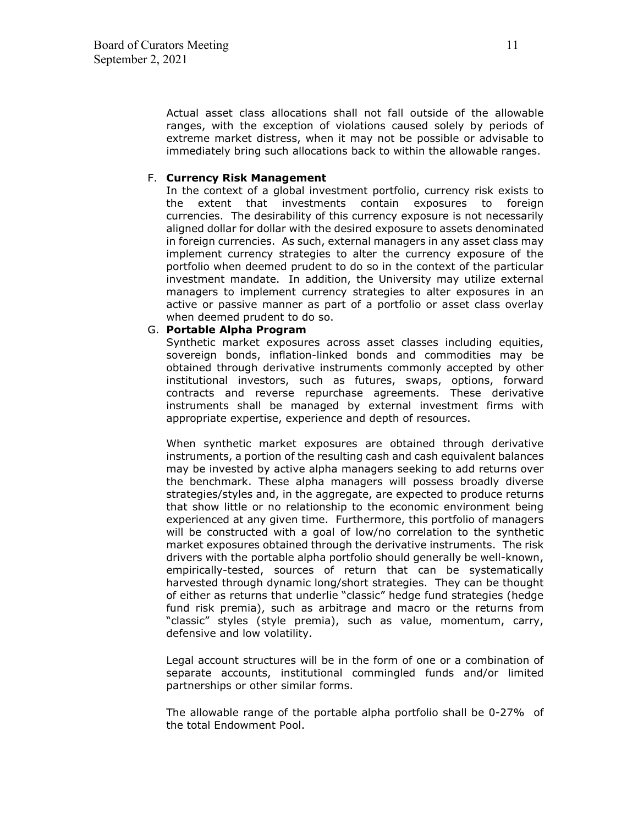Actual asset class allocations shall not fall outside of the allowable ranges, with the exception of violations caused solely by periods of extreme market distress, when it may not be possible or advisable to immediately bring such allocations back to within the allowable ranges.

#### F. **Currency Risk Management**

In the context of a global investment portfolio, currency risk exists to the extent that investments contain exposures to foreign currencies. The desirability of this currency exposure is not necessarily aligned dollar for dollar with the desired exposure to assets denominated in foreign currencies. As such, external managers in any asset class may implement currency strategies to alter the currency exposure of the portfolio when deemed prudent to do so in the context of the particular investment mandate. In addition, the University may utilize external managers to implement currency strategies to alter exposures in an active or passive manner as part of a portfolio or asset class overlay when deemed prudent to do so.

#### G. **Portable Alpha Program**

Synthetic market exposures across asset classes including equities, sovereign bonds, inflation-linked bonds and commodities may be obtained through derivative instruments commonly accepted by other institutional investors, such as futures, swaps, options, forward contracts and reverse repurchase agreements. These derivative instruments shall be managed by external investment firms with appropriate expertise, experience and depth of resources.

When synthetic market exposures are obtained through derivative instruments, a portion of the resulting cash and cash equivalent balances may be invested by active alpha managers seeking to add returns over the benchmark. These alpha managers will possess broadly diverse strategies/styles and, in the aggregate, are expected to produce returns that show little or no relationship to the economic environment being experienced at any given time. Furthermore, this portfolio of managers will be constructed with a goal of low/no correlation to the synthetic market exposures obtained through the derivative instruments. The risk drivers with the portable alpha portfolio should generally be well-known, empirically-tested, sources of return that can be systematically harvested through dynamic long/short strategies. They can be thought of either as returns that underlie "classic" hedge fund strategies (hedge fund risk premia), such as arbitrage and macro or the returns from "classic" styles (style premia), such as value, momentum, carry, defensive and low volatility.

Legal account structures will be in the form of one or a combination of separate accounts, institutional commingled funds and/or limited partnerships or other similar forms.

The allowable range of the portable alpha portfolio shall be 0-27% of the total Endowment Pool.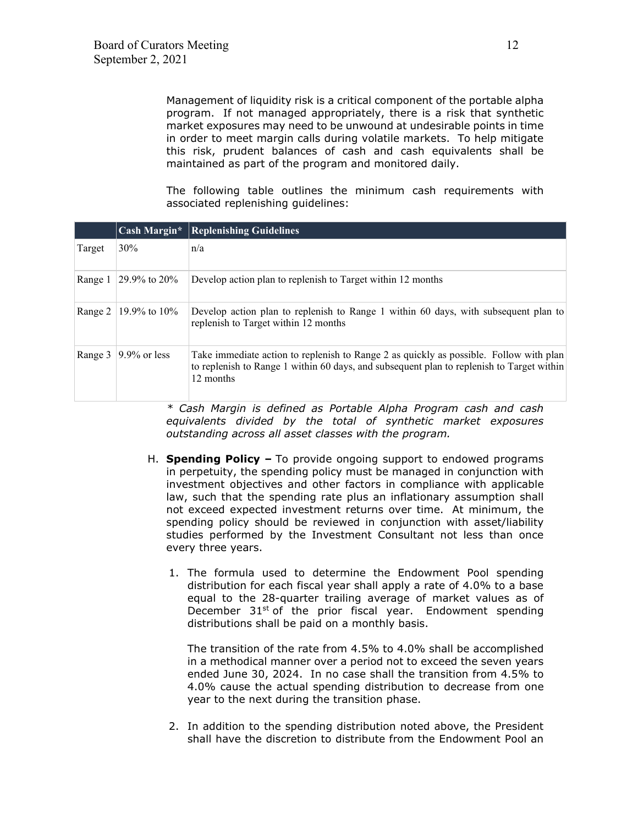Management of liquidity risk is a critical component of the portable alpha program. If not managed appropriately, there is a risk that synthetic market exposures may need to be unwound at undesirable points in time in order to meet margin calls during volatile markets. To help mitigate this risk, prudent balances of cash and cash equivalents shall be maintained as part of the program and monitored daily.

The following table outlines the minimum cash requirements with associated replenishing guidelines:

|         | Cash Margin*    | <b>Replenishing Guidelines</b>                                                                                                                                                                   |
|---------|-----------------|--------------------------------------------------------------------------------------------------------------------------------------------------------------------------------------------------|
| Target  | 30%             | n/a                                                                                                                                                                                              |
| Range 1 | 29.9% to $20\%$ | Develop action plan to replenish to Target within 12 months                                                                                                                                      |
| Range 2 | 19.9% to $10\%$ | Develop action plan to replenish to Range 1 within 60 days, with subsequent plan to<br>replenish to Target within 12 months                                                                      |
| Range 3 | $9.9\%$ or less | Take immediate action to replenish to Range 2 as quickly as possible. Follow with plan<br>to replenish to Range 1 within 60 days, and subsequent plan to replenish to Target within<br>12 months |

*\* Cash Margin is defined as Portable Alpha Program cash and cash equivalents divided by the total of synthetic market exposures outstanding across all asset classes with the program.*

- H. **Spending Policy** To provide ongoing support to endowed programs in perpetuity, the spending policy must be managed in conjunction with investment objectives and other factors in compliance with applicable law, such that the spending rate plus an inflationary assumption shall not exceed expected investment returns over time. At minimum, the spending policy should be reviewed in conjunction with asset/liability studies performed by the Investment Consultant not less than once every three years.
	- 1. The formula used to determine the Endowment Pool spending distribution for each fiscal year shall apply a rate of 4.0% to a base equal to the 28-quarter trailing average of market values as of December  $31^{st}$  of the prior fiscal year. Endowment spending distributions shall be paid on a monthly basis.

The transition of the rate from 4.5% to 4.0% shall be accomplished in a methodical manner over a period not to exceed the seven years ended June 30, 2024. In no case shall the transition from 4.5% to 4.0% cause the actual spending distribution to decrease from one year to the next during the transition phase.

2. In addition to the spending distribution noted above, the President shall have the discretion to distribute from the Endowment Pool an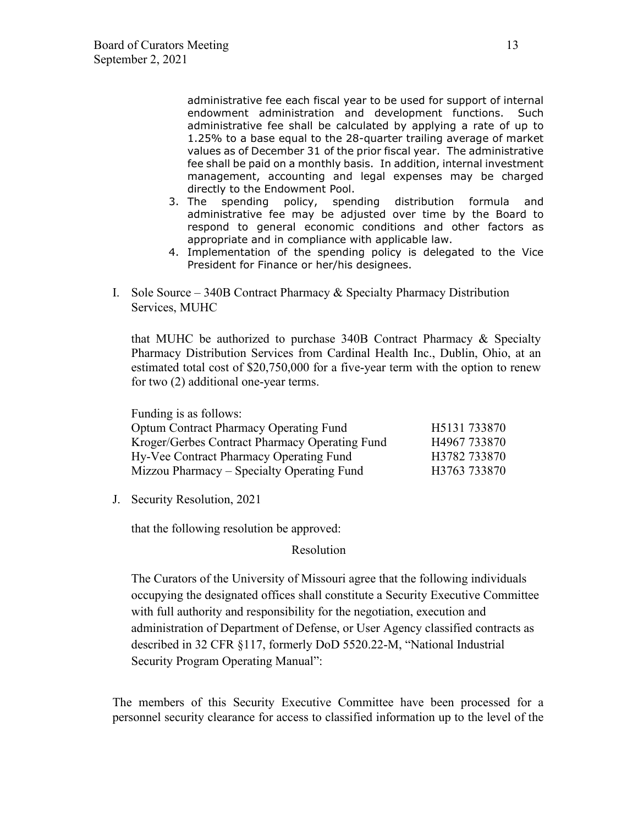administrative fee each fiscal year to be used for support of internal endowment administration and development functions. Such administrative fee shall be calculated by applying a rate of up to 1.25% to a base equal to the 28-quarter trailing average of market values as of December 31 of the prior fiscal year. The administrative fee shall be paid on a monthly basis. In addition, internal investment management, accounting and legal expenses may be charged directly to the Endowment Pool.

- 3. The spending policy, spending distribution formula and administrative fee may be adjusted over time by the Board to respond to general economic conditions and other factors as appropriate and in compliance with applicable law.
- 4. Implementation of the spending policy is delegated to the Vice President for Finance or her/his designees.
- I. Sole Source 340B Contract Pharmacy & Specialty Pharmacy Distribution Services, MUHC

that MUHC be authorized to purchase 340B Contract Pharmacy & Specialty Pharmacy Distribution Services from Cardinal Health Inc., Dublin, Ohio, at an estimated total cost of \$20,750,000 for a five-year term with the option to renew for two (2) additional one-year terms.

Funding is as follows: Optum Contract Pharmacy Operating Fund H5131 733870 Kroger/Gerbes Contract Pharmacy Operating Fund H4967 733870 Hy-Vee Contract Pharmacy Operating Fund H3782 733870 Mizzou Pharmacy – Specialty Operating Fund H3763 733870

J. Security Resolution, 2021

that the following resolution be approved:

Resolution

The Curators of the University of Missouri agree that the following individuals occupying the designated offices shall constitute a Security Executive Committee with full authority and responsibility for the negotiation, execution and administration of Department of Defense, or User Agency classified contracts as described in 32 CFR §117, formerly DoD 5520.22-M, "National Industrial Security Program Operating Manual":

The members of this Security Executive Committee have been processed for a personnel security clearance for access to classified information up to the level of the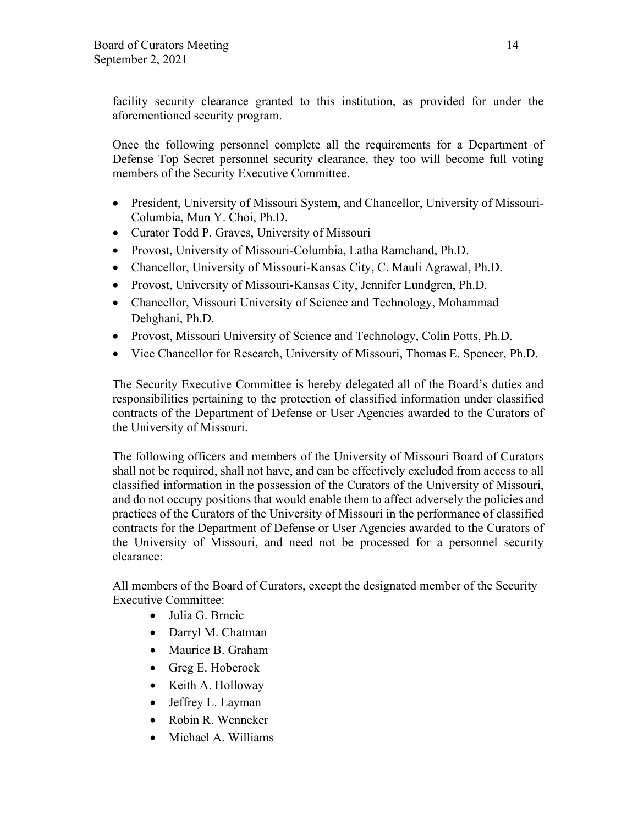facility security clearance granted to this institution, as provided for under the aforementioned security program.

Once the following personnel complete all the requirements for a Department of Defense Top Secret personnel security clearance, they too will become full voting members of the Security Executive Committee.

- President, University of Missouri System, and Chancellor, University of Missouri-Columbia, Mun Y. Choi, Ph.D.
- Curator Todd P. Graves, University of Missouri
- Provost, University of Missouri-Columbia, Latha Ramchand, Ph.D.
- Chancellor, University of Missouri-Kansas City, C. Mauli Agrawal, Ph.D.
- Provost, University of Missouri-Kansas City, Jennifer Lundgren, Ph.D.
- Chancellor, Missouri University of Science and Technology, Mohammad Dehghani, Ph.D.
- Provost, Missouri University of Science and Technology, Colin Potts, Ph.D.
- Vice Chancellor for Research, University of Missouri, Thomas E. Spencer, Ph.D.

The Security Executive Committee is hereby delegated all of the Board's duties and responsibilities pertaining to the protection of classified information under classified contracts of the Department of Defense or User Agencies awarded to the Curators of the University of Missouri.

The following officers and members of the University of Missouri Board of Curators shall not be required, shall not have, and can be effectively excluded from access to all classified information in the possession of the Curators of the University of Missouri, and do not occupy positions that would enable them to affect adversely the policies and practices of the Curators of the University of Missouri in the performance of classified contracts for the Department of Defense or User Agencies awarded to the Curators of the University of Missouri, and need not be processed for a personnel security clearance:

All members of the Board of Curators, except the designated member of the Security Executive Committee:

- Julia G. Brncic
- Darryl M. Chatman
- Maurice B. Graham
- Greg E. Hoberock
- Keith A. Holloway
- Jeffrey L. Layman
- Robin R. Wenneker
- Michael A. Williams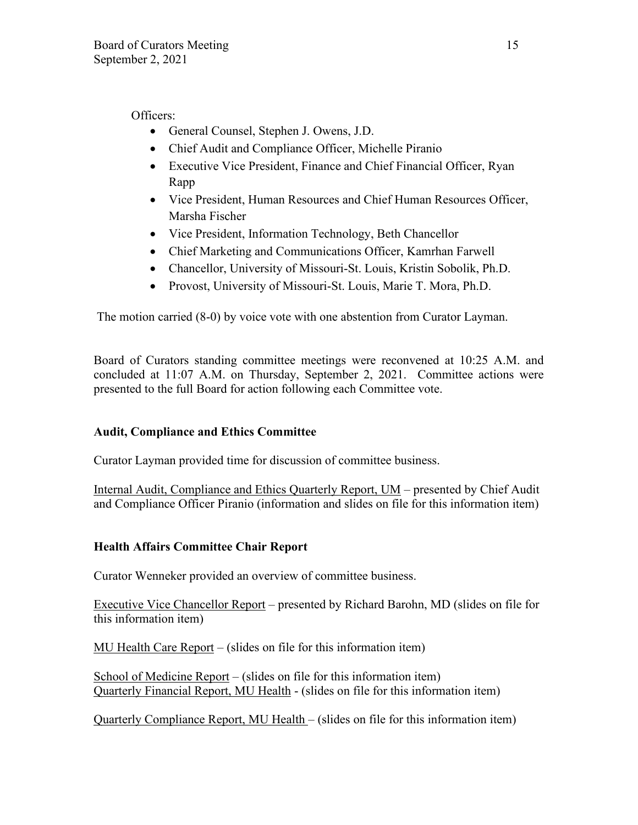Officers:

- General Counsel, Stephen J. Owens, J.D.
- Chief Audit and Compliance Officer, Michelle Piranio
- Executive Vice President, Finance and Chief Financial Officer, Ryan Rapp
- Vice President, Human Resources and Chief Human Resources Officer, Marsha Fischer
- Vice President, Information Technology, Beth Chancellor
- Chief Marketing and Communications Officer, Kamrhan Farwell
- Chancellor, University of Missouri-St. Louis, Kristin Sobolik, Ph.D.
- Provost, University of Missouri-St. Louis, Marie T. Mora, Ph.D.

The motion carried (8-0) by voice vote with one abstention from Curator Layman.

Board of Curators standing committee meetings were reconvened at 10:25 A.M. and concluded at 11:07 A.M. on Thursday, September 2, 2021. Committee actions were presented to the full Board for action following each Committee vote.

# **Audit, Compliance and Ethics Committee**

Curator Layman provided time for discussion of committee business.

Internal Audit, Compliance and Ethics Quarterly Report, UM – presented by Chief Audit and Compliance Officer Piranio (information and slides on file for this information item)

# **Health Affairs Committee Chair Report**

Curator Wenneker provided an overview of committee business.

Executive Vice Chancellor Report – presented by Richard Barohn, MD (slides on file for this information item)

MU Health Care Report – (slides on file for this information item)

School of Medicine Report – (slides on file for this information item) Quarterly Financial Report, MU Health - (slides on file for this information item)

Quarterly Compliance Report, MU Health – (slides on file for this information item)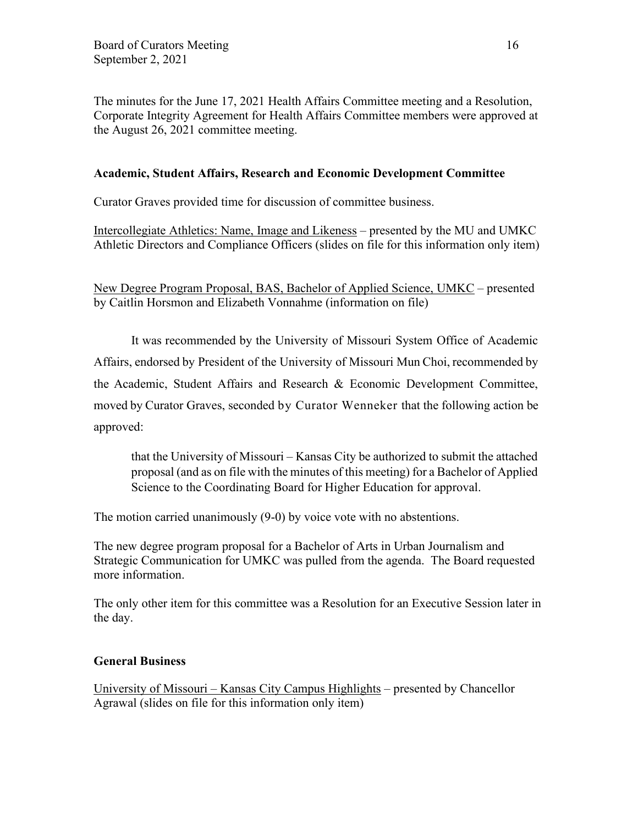The minutes for the June 17, 2021 Health Affairs Committee meeting and a Resolution, Corporate Integrity Agreement for Health Affairs Committee members were approved at the August 26, 2021 committee meeting.

### **Academic, Student Affairs, Research and Economic Development Committee**

Curator Graves provided time for discussion of committee business.

Intercollegiate Athletics: Name, Image and Likeness – presented by the MU and UMKC Athletic Directors and Compliance Officers (slides on file for this information only item)

New Degree Program Proposal, BAS, Bachelor of Applied Science, UMKC – presented by Caitlin Horsmon and Elizabeth Vonnahme (information on file)

It was recommended by the University of Missouri System Office of Academic Affairs, endorsed by President of the University of Missouri Mun Choi, recommended by the Academic, Student Affairs and Research & Economic Development Committee, moved by Curator Graves, seconded by Curator Wenneker that the following action be approved:

that the University of Missouri – Kansas City be authorized to submit the attached proposal (and as on file with the minutes of this meeting) for a Bachelor of Applied Science to the Coordinating Board for Higher Education for approval.

The motion carried unanimously (9-0) by voice vote with no abstentions.

The new degree program proposal for a Bachelor of Arts in Urban Journalism and Strategic Communication for UMKC was pulled from the agenda. The Board requested more information.

The only other item for this committee was a Resolution for an Executive Session later in the day.

#### **General Business**

University of Missouri – Kansas City Campus Highlights – presented by Chancellor Agrawal (slides on file for this information only item)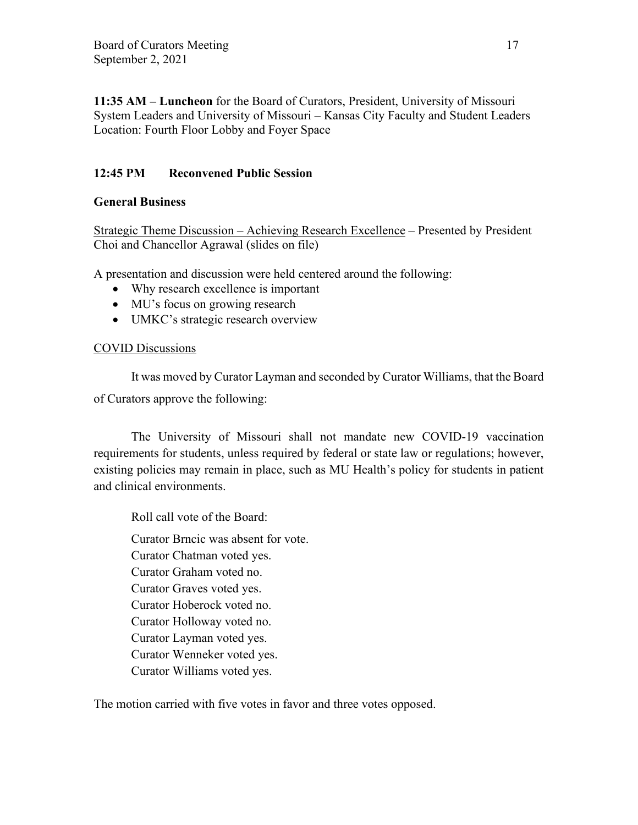**11:35 AM – Luncheon** for the Board of Curators, President, University of Missouri System Leaders and University of Missouri – Kansas City Faculty and Student Leaders Location: Fourth Floor Lobby and Foyer Space

## **12:45 PM Reconvened Public Session**

## **General Business**

Strategic Theme Discussion – Achieving Research Excellence – Presented by President Choi and Chancellor Agrawal (slides on file)

A presentation and discussion were held centered around the following:

- Why research excellence is important
- MU's focus on growing research
- UMKC's strategic research overview

## COVID Discussions

It was moved by Curator Layman and seconded by Curator Williams, that the Board of Curators approve the following:

The University of Missouri shall not mandate new COVID-19 vaccination requirements for students, unless required by federal or state law or regulations; however, existing policies may remain in place, such as MU Health's policy for students in patient and clinical environments.

Roll call vote of the Board:

 Curator Brncic was absent for vote. Curator Chatman voted yes. Curator Graham voted no. Curator Graves voted yes. Curator Hoberock voted no. Curator Holloway voted no. Curator Layman voted yes. Curator Wenneker voted yes. Curator Williams voted yes.

The motion carried with five votes in favor and three votes opposed.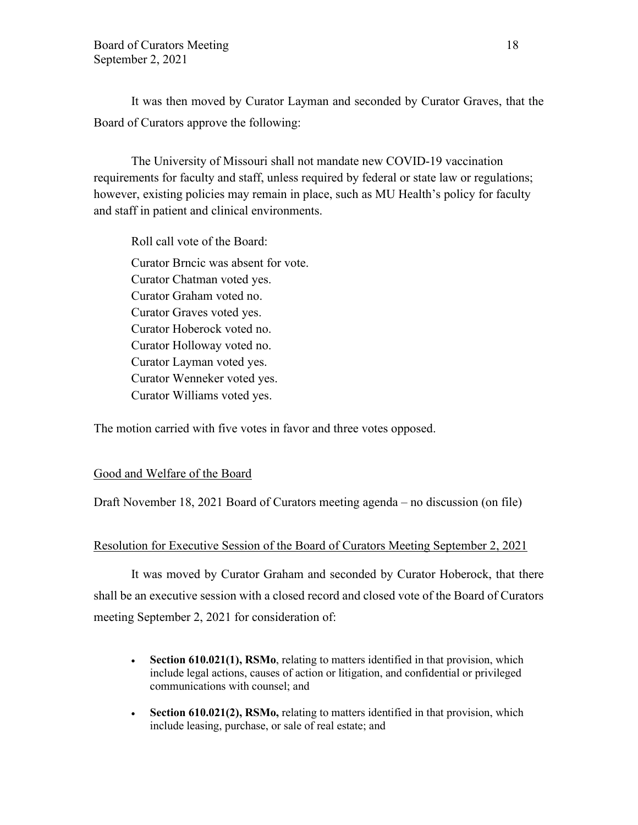It was then moved by Curator Layman and seconded by Curator Graves, that the Board of Curators approve the following:

The University of Missouri shall not mandate new COVID-19 vaccination requirements for faculty and staff, unless required by federal or state law or regulations; however, existing policies may remain in place, such as MU Health's policy for faculty and staff in patient and clinical environments.

Roll call vote of the Board: Curator Brncic was absent for vote. Curator Chatman voted yes. Curator Graham voted no. Curator Graves voted yes. Curator Hoberock voted no. Curator Holloway voted no. Curator Layman voted yes. Curator Wenneker voted yes. Curator Williams voted yes.

The motion carried with five votes in favor and three votes opposed.

#### Good and Welfare of the Board

Draft November 18, 2021 Board of Curators meeting agenda – no discussion (on file)

#### Resolution for Executive Session of the Board of Curators Meeting September 2, 2021

It was moved by Curator Graham and seconded by Curator Hoberock, that there shall be an executive session with a closed record and closed vote of the Board of Curators meeting September 2, 2021 for consideration of:

- **Section 610.021(1), RSMo**, relating to matters identified in that provision, which include legal actions, causes of action or litigation, and confidential or privileged communications with counsel; and
- **Section 610.021(2), RSMo,** relating to matters identified in that provision, which include leasing, purchase, or sale of real estate; and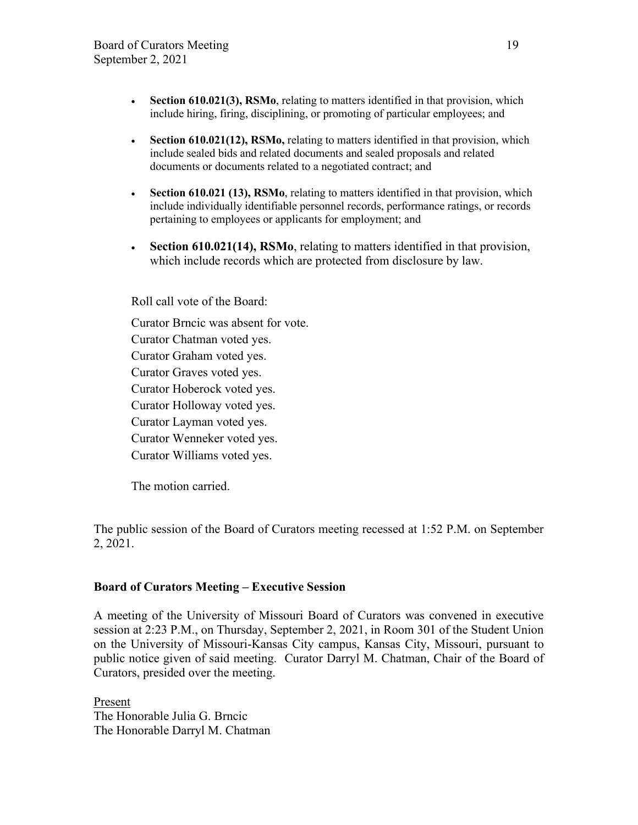- **Section 610.021(3), RSMo**, relating to matters identified in that provision, which include hiring, firing, disciplining, or promoting of particular employees; and
- **Section 610.021(12), RSMo,** relating to matters identified in that provision, which include sealed bids and related documents and sealed proposals and related documents or documents related to a negotiated contract; and
- **Section 610.021 (13), RSMo**, relating to matters identified in that provision, which include individually identifiable personnel records, performance ratings, or records pertaining to employees or applicants for employment; and
- **Section 610.021(14), RSMo**, relating to matters identified in that provision, which include records which are protected from disclosure by law.

Roll call vote of the Board:

Curator Brncic was absent for vote. Curator Chatman voted yes. Curator Graham voted yes. Curator Graves voted yes. Curator Hoberock voted yes. Curator Holloway voted yes. Curator Layman voted yes. Curator Wenneker voted yes. Curator Williams voted yes.

The motion carried.

The public session of the Board of Curators meeting recessed at 1:52 P.M. on September 2, 2021.

### **Board of Curators Meeting – Executive Session**

A meeting of the University of Missouri Board of Curators was convened in executive session at 2:23 P.M., on Thursday, September 2, 2021, in Room 301 of the Student Union on the University of Missouri-Kansas City campus, Kansas City, Missouri, pursuant to public notice given of said meeting. Curator Darryl M. Chatman, Chair of the Board of Curators, presided over the meeting.

Present The Honorable Julia G. Brncic The Honorable Darryl M. Chatman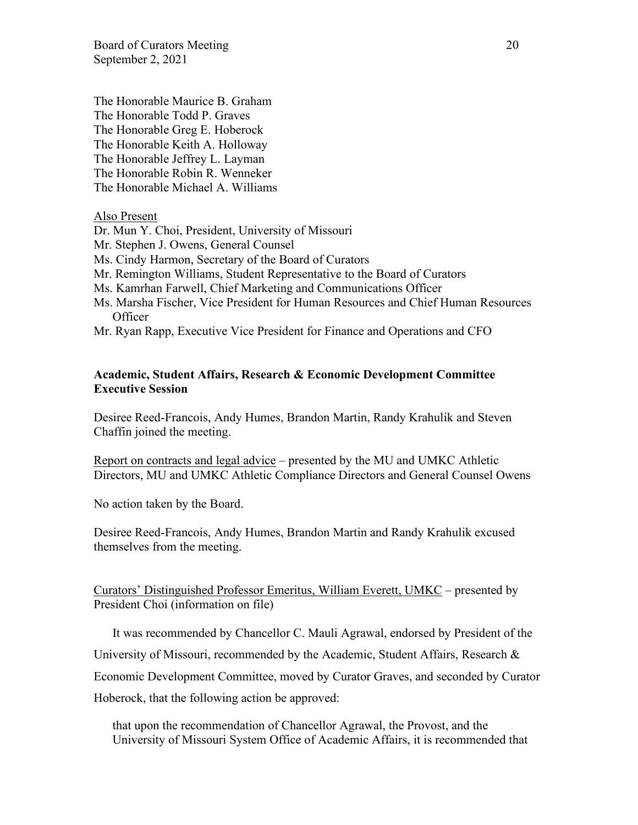Board of Curators Meeting 20 September 2, 2021

The Honorable Maurice B. Graham The Honorable Todd P. Graves The Honorable Greg E. Hoberock The Honorable Keith A. Holloway The Honorable Jeffrey L. Layman The Honorable Robin R. Wenneker The Honorable Michael A. Williams

#### Also Present

- Dr. Mun Y. Choi, President, University of Missouri
- Mr. Stephen J. Owens, General Counsel
- Ms. Cindy Harmon, Secretary of the Board of Curators
- Mr. Remington Williams, Student Representative to the Board of Curators
- Ms. Kamrhan Farwell, Chief Marketing and Communications Officer
- Ms. Marsha Fischer, Vice President for Human Resources and Chief Human Resources **Officer**
- Mr. Ryan Rapp, Executive Vice President for Finance and Operations and CFO

### **Academic, Student Affairs, Research & Economic Development Committee Executive Session**

Desiree Reed-Francois, Andy Humes, Brandon Martin, Randy Krahulik and Steven Chaffin joined the meeting.

Report on contracts and legal advice – presented by the MU and UMKC Athletic Directors, MU and UMKC Athletic Compliance Directors and General Counsel Owens

No action taken by the Board.

Desiree Reed-Francois, Andy Humes, Brandon Martin and Randy Krahulik excused themselves from the meeting.

### Curators' Distinguished Professor Emeritus, William Everett, UMKC – presented by President Choi (information on file)

It was recommended by Chancellor C. Mauli Agrawal, endorsed by President of the University of Missouri, recommended by the Academic, Student Affairs, Research  $\&$ Economic Development Committee, moved by Curator Graves, and seconded by Curator

Hoberock, that the following action be approved:

that upon the recommendation of Chancellor Agrawal, the Provost, and the University of Missouri System Office of Academic Affairs, it is recommended that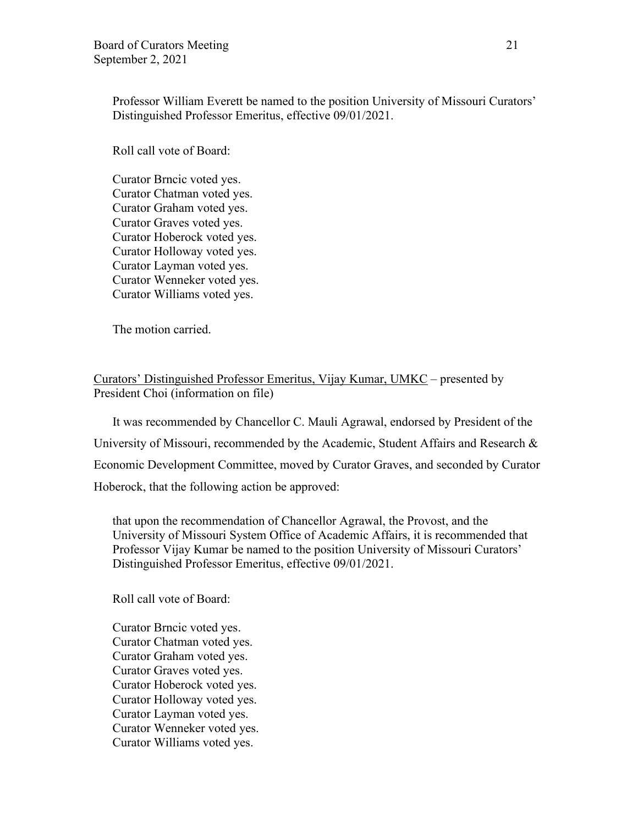Professor William Everett be named to the position University of Missouri Curators' Distinguished Professor Emeritus, effective 09/01/2021.

Roll call vote of Board:

Curator Brncic voted yes. Curator Chatman voted yes. Curator Graham voted yes. Curator Graves voted yes. Curator Hoberock voted yes. Curator Holloway voted yes. Curator Layman voted yes. Curator Wenneker voted yes. Curator Williams voted yes.

The motion carried.

Curators' Distinguished Professor Emeritus, Vijay Kumar, UMKC – presented by President Choi (information on file)

It was recommended by Chancellor C. Mauli Agrawal, endorsed by President of the University of Missouri, recommended by the Academic, Student Affairs and Research & Economic Development Committee, moved by Curator Graves, and seconded by Curator Hoberock, that the following action be approved:

that upon the recommendation of Chancellor Agrawal, the Provost, and the University of Missouri System Office of Academic Affairs, it is recommended that Professor Vijay Kumar be named to the position University of Missouri Curators' Distinguished Professor Emeritus, effective 09/01/2021.

Roll call vote of Board:

Curator Brncic voted yes. Curator Chatman voted yes. Curator Graham voted yes. Curator Graves voted yes. Curator Hoberock voted yes. Curator Holloway voted yes. Curator Layman voted yes. Curator Wenneker voted yes. Curator Williams voted yes.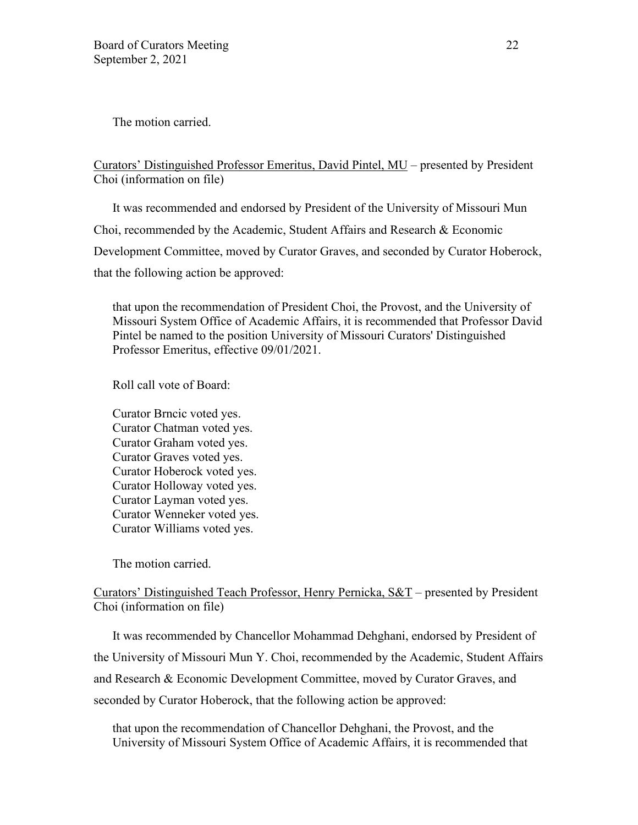The motion carried.

Curators' Distinguished Professor Emeritus, David Pintel, MU – presented by President Choi (information on file)

It was recommended and endorsed by President of the University of Missouri Mun Choi, recommended by the Academic, Student Affairs and Research & Economic Development Committee, moved by Curator Graves, and seconded by Curator Hoberock, that the following action be approved:

that upon the recommendation of President Choi, the Provost, and the University of Missouri System Office of Academic Affairs, it is recommended that Professor David Pintel be named to the position University of Missouri Curators' Distinguished Professor Emeritus, effective 09/01/2021.

Roll call vote of Board:

Curator Brncic voted yes. Curator Chatman voted yes. Curator Graham voted yes. Curator Graves voted yes. Curator Hoberock voted yes. Curator Holloway voted yes. Curator Layman voted yes. Curator Wenneker voted yes. Curator Williams voted yes.

The motion carried.

## Curators' Distinguished Teach Professor, Henry Pernicka, S&T – presented by President Choi (information on file)

It was recommended by Chancellor Mohammad Dehghani, endorsed by President of the University of Missouri Mun Y. Choi, recommended by the Academic, Student Affairs and Research & Economic Development Committee, moved by Curator Graves, and seconded by Curator Hoberock, that the following action be approved:

that upon the recommendation of Chancellor Dehghani, the Provost, and the University of Missouri System Office of Academic Affairs, it is recommended that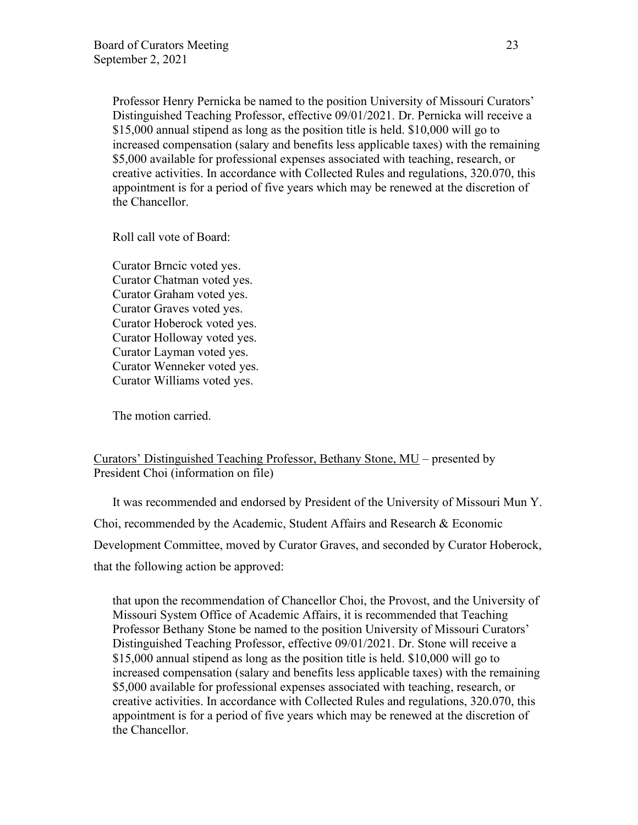Professor Henry Pernicka be named to the position University of Missouri Curators' Distinguished Teaching Professor, effective 09/01/2021. Dr. Pernicka will receive a \$15,000 annual stipend as long as the position title is held. \$10,000 will go to increased compensation (salary and benefits less applicable taxes) with the remaining \$5,000 available for professional expenses associated with teaching, research, or creative activities. In accordance with Collected Rules and regulations, 320.070, this appointment is for a period of five years which may be renewed at the discretion of the Chancellor.

Roll call vote of Board:

Curator Brncic voted yes. Curator Chatman voted yes. Curator Graham voted yes. Curator Graves voted yes. Curator Hoberock voted yes. Curator Holloway voted yes. Curator Layman voted yes. Curator Wenneker voted yes. Curator Williams voted yes.

The motion carried.

## Curators' Distinguished Teaching Professor, Bethany Stone, MU – presented by President Choi (information on file)

It was recommended and endorsed by President of the University of Missouri Mun Y. Choi, recommended by the Academic, Student Affairs and Research & Economic Development Committee, moved by Curator Graves, and seconded by Curator Hoberock, that the following action be approved:

that upon the recommendation of Chancellor Choi, the Provost, and the University of Missouri System Office of Academic Affairs, it is recommended that Teaching Professor Bethany Stone be named to the position University of Missouri Curators' Distinguished Teaching Professor, effective 09/01/2021. Dr. Stone will receive a \$15,000 annual stipend as long as the position title is held. \$10,000 will go to increased compensation (salary and benefits less applicable taxes) with the remaining \$5,000 available for professional expenses associated with teaching, research, or creative activities. In accordance with Collected Rules and regulations, 320.070, this appointment is for a period of five years which may be renewed at the discretion of the Chancellor.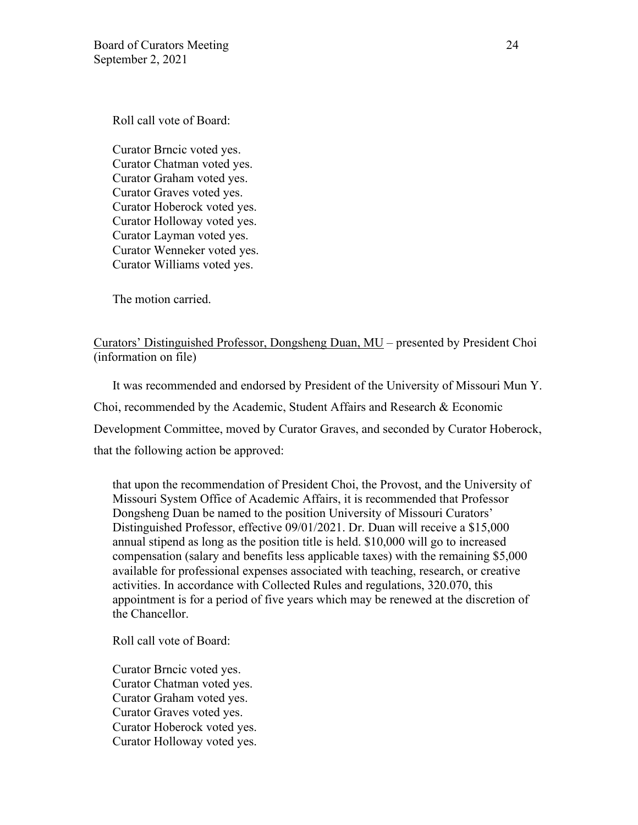Roll call vote of Board:

Curator Brncic voted yes. Curator Chatman voted yes. Curator Graham voted yes. Curator Graves voted yes. Curator Hoberock voted yes. Curator Holloway voted yes. Curator Layman voted yes. Curator Wenneker voted yes. Curator Williams voted yes.

The motion carried.

## Curators' Distinguished Professor, Dongsheng Duan, MU – presented by President Choi (information on file)

It was recommended and endorsed by President of the University of Missouri Mun Y. Choi, recommended by the Academic, Student Affairs and Research & Economic Development Committee, moved by Curator Graves, and seconded by Curator Hoberock, that the following action be approved:

that upon the recommendation of President Choi, the Provost, and the University of Missouri System Office of Academic Affairs, it is recommended that Professor Dongsheng Duan be named to the position University of Missouri Curators' Distinguished Professor, effective 09/01/2021. Dr. Duan will receive a \$15,000 annual stipend as long as the position title is held. \$10,000 will go to increased compensation (salary and benefits less applicable taxes) with the remaining \$5,000 available for professional expenses associated with teaching, research, or creative activities. In accordance with Collected Rules and regulations, 320.070, this appointment is for a period of five years which may be renewed at the discretion of the Chancellor.

Roll call vote of Board:

Curator Brncic voted yes. Curator Chatman voted yes. Curator Graham voted yes. Curator Graves voted yes. Curator Hoberock voted yes. Curator Holloway voted yes.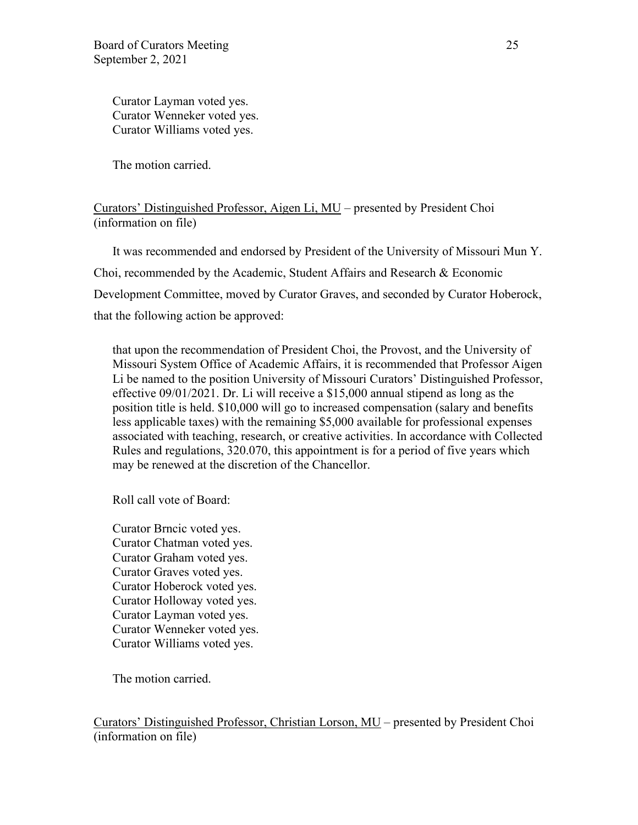Curator Layman voted yes. Curator Wenneker voted yes. Curator Williams voted yes.

The motion carried.

### Curators' Distinguished Professor, Aigen Li, MU – presented by President Choi (information on file)

It was recommended and endorsed by President of the University of Missouri Mun Y. Choi, recommended by the Academic, Student Affairs and Research & Economic Development Committee, moved by Curator Graves, and seconded by Curator Hoberock, that the following action be approved:

that upon the recommendation of President Choi, the Provost, and the University of Missouri System Office of Academic Affairs, it is recommended that Professor Aigen Li be named to the position University of Missouri Curators' Distinguished Professor, effective 09/01/2021. Dr. Li will receive a \$15,000 annual stipend as long as the position title is held. \$10,000 will go to increased compensation (salary and benefits less applicable taxes) with the remaining \$5,000 available for professional expenses associated with teaching, research, or creative activities. In accordance with Collected Rules and regulations, 320.070, this appointment is for a period of five years which may be renewed at the discretion of the Chancellor.

Roll call vote of Board:

Curator Brncic voted yes. Curator Chatman voted yes. Curator Graham voted yes. Curator Graves voted yes. Curator Hoberock voted yes. Curator Holloway voted yes. Curator Layman voted yes. Curator Wenneker voted yes. Curator Williams voted yes.

The motion carried.

Curators' Distinguished Professor, Christian Lorson, MU – presented by President Choi (information on file)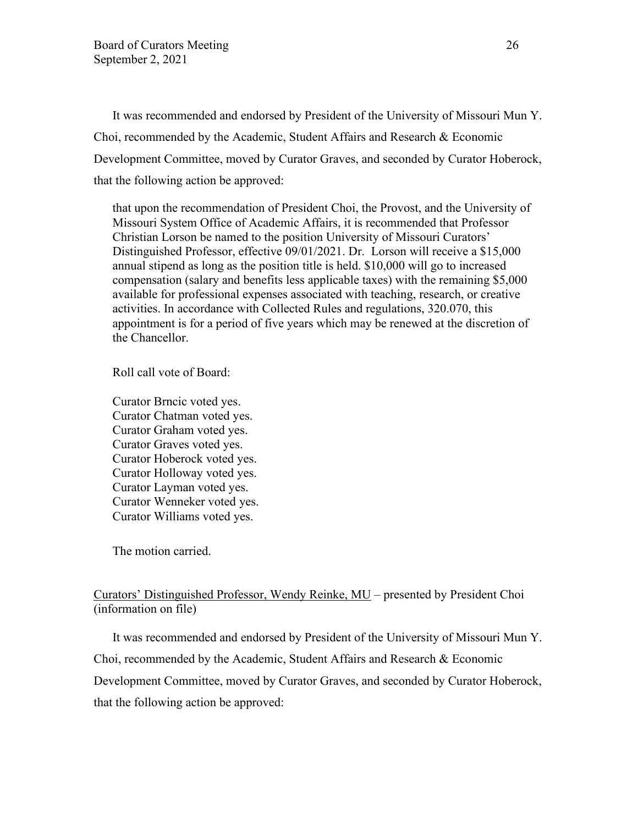It was recommended and endorsed by President of the University of Missouri Mun Y. Choi, recommended by the Academic, Student Affairs and Research & Economic Development Committee, moved by Curator Graves, and seconded by Curator Hoberock, that the following action be approved:

that upon the recommendation of President Choi, the Provost, and the University of Missouri System Office of Academic Affairs, it is recommended that Professor Christian Lorson be named to the position University of Missouri Curators' Distinguished Professor, effective 09/01/2021. Dr. Lorson will receive a \$15,000 annual stipend as long as the position title is held. \$10,000 will go to increased compensation (salary and benefits less applicable taxes) with the remaining \$5,000 available for professional expenses associated with teaching, research, or creative activities. In accordance with Collected Rules and regulations, 320.070, this appointment is for a period of five years which may be renewed at the discretion of the Chancellor.

Roll call vote of Board:

Curator Brncic voted yes. Curator Chatman voted yes. Curator Graham voted yes. Curator Graves voted yes. Curator Hoberock voted yes. Curator Holloway voted yes. Curator Layman voted yes. Curator Wenneker voted yes. Curator Williams voted yes.

The motion carried.

## Curators' Distinguished Professor, Wendy Reinke, MU – presented by President Choi (information on file)

It was recommended and endorsed by President of the University of Missouri Mun Y. Choi, recommended by the Academic, Student Affairs and Research & Economic Development Committee, moved by Curator Graves, and seconded by Curator Hoberock, that the following action be approved: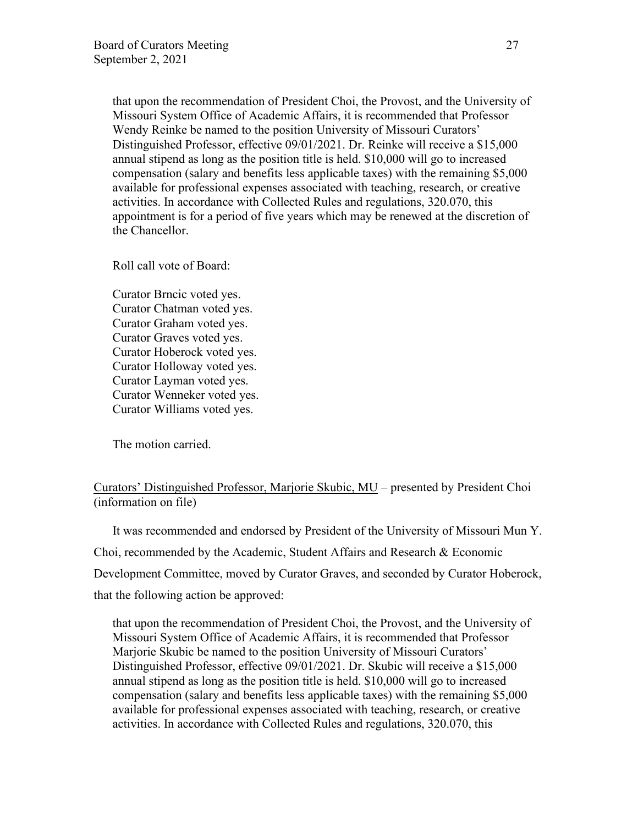that upon the recommendation of President Choi, the Provost, and the University of Missouri System Office of Academic Affairs, it is recommended that Professor Wendy Reinke be named to the position University of Missouri Curators' Distinguished Professor, effective 09/01/2021. Dr. Reinke will receive a \$15,000 annual stipend as long as the position title is held. \$10,000 will go to increased compensation (salary and benefits less applicable taxes) with the remaining \$5,000 available for professional expenses associated with teaching, research, or creative activities. In accordance with Collected Rules and regulations, 320.070, this appointment is for a period of five years which may be renewed at the discretion of the Chancellor.

Roll call vote of Board:

Curator Brncic voted yes. Curator Chatman voted yes. Curator Graham voted yes. Curator Graves voted yes. Curator Hoberock voted yes. Curator Holloway voted yes. Curator Layman voted yes. Curator Wenneker voted yes. Curator Williams voted yes.

The motion carried.

## Curators' Distinguished Professor, Marjorie Skubic, MU – presented by President Choi (information on file)

It was recommended and endorsed by President of the University of Missouri Mun Y. Choi, recommended by the Academic, Student Affairs and Research & Economic Development Committee, moved by Curator Graves, and seconded by Curator Hoberock, that the following action be approved:

that upon the recommendation of President Choi, the Provost, and the University of Missouri System Office of Academic Affairs, it is recommended that Professor Marjorie Skubic be named to the position University of Missouri Curators' Distinguished Professor, effective 09/01/2021. Dr. Skubic will receive a \$15,000 annual stipend as long as the position title is held. \$10,000 will go to increased compensation (salary and benefits less applicable taxes) with the remaining \$5,000 available for professional expenses associated with teaching, research, or creative activities. In accordance with Collected Rules and regulations, 320.070, this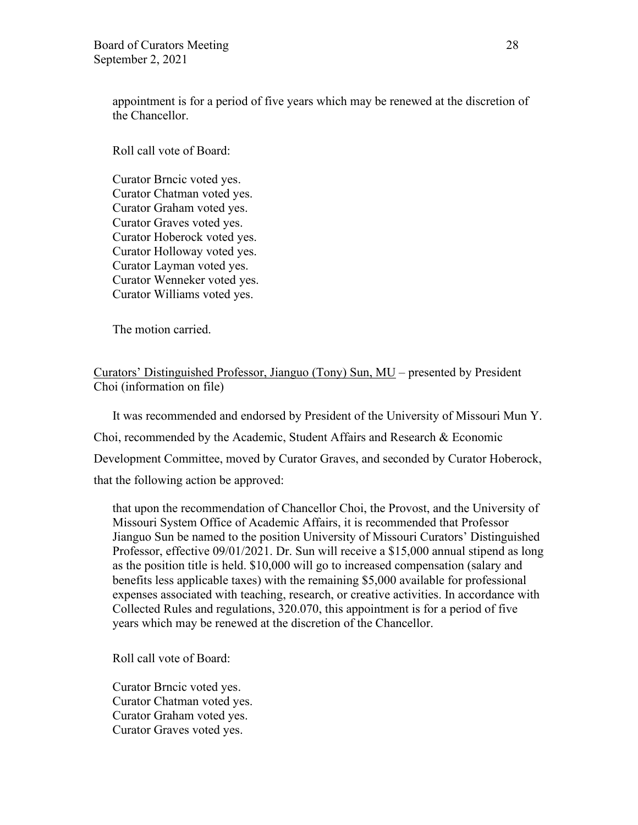appointment is for a period of five years which may be renewed at the discretion of the Chancellor.

Roll call vote of Board:

Curator Brncic voted yes. Curator Chatman voted yes. Curator Graham voted yes. Curator Graves voted yes. Curator Hoberock voted yes. Curator Holloway voted yes. Curator Layman voted yes. Curator Wenneker voted yes. Curator Williams voted yes.

The motion carried.

## Curators' Distinguished Professor, Jianguo (Tony) Sun, MU – presented by President Choi (information on file)

It was recommended and endorsed by President of the University of Missouri Mun Y. Choi, recommended by the Academic, Student Affairs and Research & Economic Development Committee, moved by Curator Graves, and seconded by Curator Hoberock, that the following action be approved:

that upon the recommendation of Chancellor Choi, the Provost, and the University of Missouri System Office of Academic Affairs, it is recommended that Professor Jianguo Sun be named to the position University of Missouri Curators' Distinguished Professor, effective 09/01/2021. Dr. Sun will receive a \$15,000 annual stipend as long as the position title is held. \$10,000 will go to increased compensation (salary and benefits less applicable taxes) with the remaining \$5,000 available for professional expenses associated with teaching, research, or creative activities. In accordance with Collected Rules and regulations, 320.070, this appointment is for a period of five years which may be renewed at the discretion of the Chancellor.

Roll call vote of Board:

Curator Brncic voted yes. Curator Chatman voted yes. Curator Graham voted yes. Curator Graves voted yes.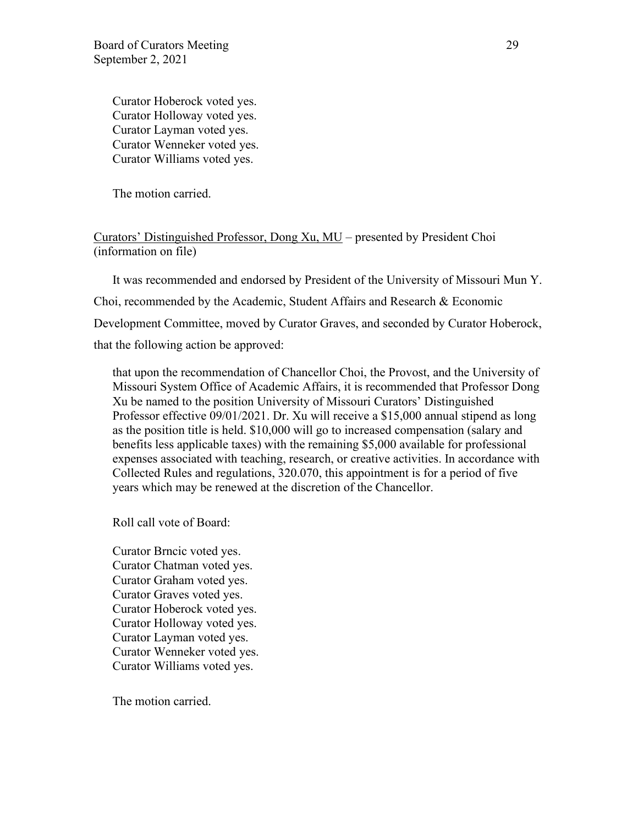Curator Hoberock voted yes. Curator Holloway voted yes. Curator Layman voted yes. Curator Wenneker voted yes. Curator Williams voted yes.

The motion carried.

Curators' Distinguished Professor, Dong Xu, MU – presented by President Choi (information on file)

It was recommended and endorsed by President of the University of Missouri Mun Y. Choi, recommended by the Academic, Student Affairs and Research & Economic Development Committee, moved by Curator Graves, and seconded by Curator Hoberock, that the following action be approved:

that upon the recommendation of Chancellor Choi, the Provost, and the University of Missouri System Office of Academic Affairs, it is recommended that Professor Dong Xu be named to the position University of Missouri Curators' Distinguished Professor effective 09/01/2021. Dr. Xu will receive a \$15,000 annual stipend as long as the position title is held. \$10,000 will go to increased compensation (salary and benefits less applicable taxes) with the remaining \$5,000 available for professional expenses associated with teaching, research, or creative activities. In accordance with Collected Rules and regulations, 320.070, this appointment is for a period of five years which may be renewed at the discretion of the Chancellor.

Roll call vote of Board:

Curator Brncic voted yes. Curator Chatman voted yes. Curator Graham voted yes. Curator Graves voted yes. Curator Hoberock voted yes. Curator Holloway voted yes. Curator Layman voted yes. Curator Wenneker voted yes. Curator Williams voted yes.

The motion carried.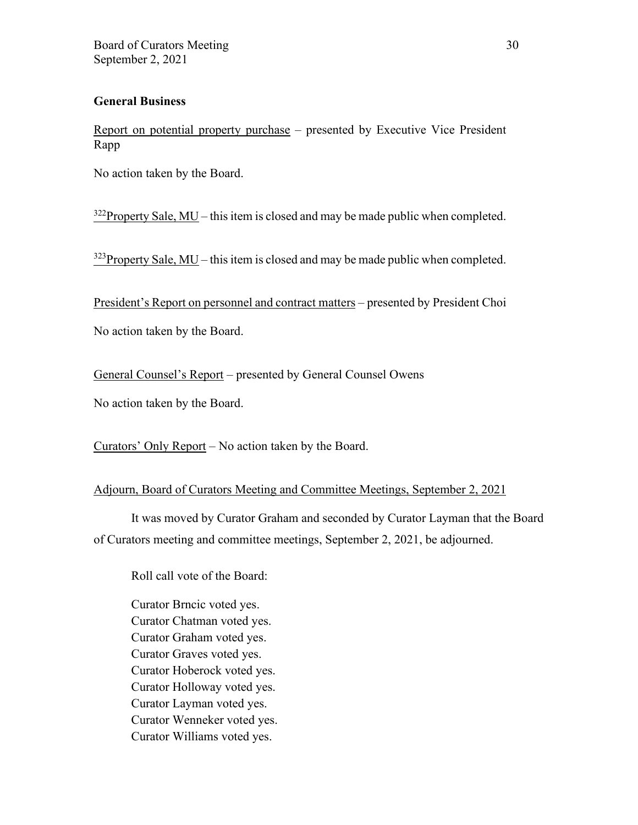## **General Business**

Report on potential property purchase – presented by Executive Vice President Rapp

No action taken by the Board.

 $322$ Property Sale, MU – this item is closed and may be made public when completed.

 $323$ Property Sale, MU – this item is closed and may be made public when completed.

President's Report on personnel and contract matters – presented by President Choi

No action taken by the Board.

General Counsel's Report – presented by General Counsel Owens

No action taken by the Board.

Curators' Only Report – No action taken by the Board.

### Adjourn, Board of Curators Meeting and Committee Meetings, September 2, 2021

It was moved by Curator Graham and seconded by Curator Layman that the Board of Curators meeting and committee meetings, September 2, 2021, be adjourned.

Roll call vote of the Board:

Curator Brncic voted yes. Curator Chatman voted yes. Curator Graham voted yes. Curator Graves voted yes. Curator Hoberock voted yes. Curator Holloway voted yes. Curator Layman voted yes. Curator Wenneker voted yes. Curator Williams voted yes.